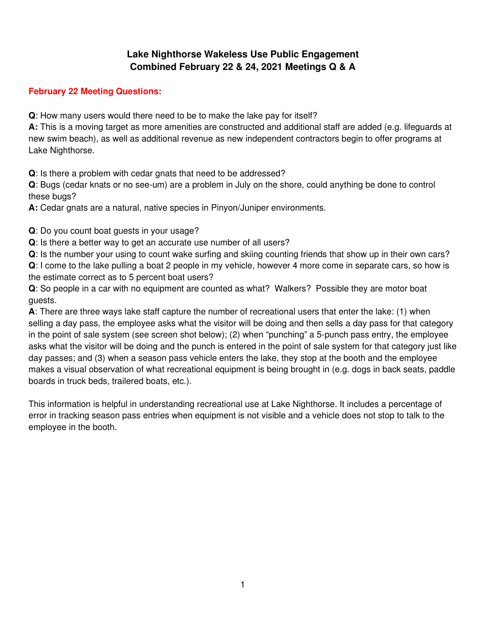## **Lake Nighthorse Wakeless Use Public Engagement Combined February 22 & 24, 2021 Meetings Q & A**

## **February 22 Meeting Questions:**

**Q**: How many users would there need to be to make the lake pay for itself?

**A:** This is a moving target as more amenities are constructed and additional staff are added (e.g. lifeguards at new swim beach), as well as additional revenue as new independent contractors begin to offer programs at Lake Nighthorse.

**Q**: Is there a problem with cedar gnats that need to be addressed?

**Q**: Bugs (cedar knats or no see-um) are a problem in July on the shore, could anything be done to control these bugs?

**A:** Cedar gnats are a natural, native species in Pinyon/Juniper environments.

**Q**: Do you count boat guests in your usage?

**Q**: Is there a better way to get an accurate use number of all users?

**Q**: Is the number your using to count wake surfing and skiing counting friends that show up in their own cars? **Q**: I come to the lake pulling a boat 2 people in my vehicle, however 4 more come in separate cars, so how is the estimate correct as to 5 percent boat users?

**Q**: So people in a car with no equipment are counted as what? Walkers? Possible they are motor boat guests.

**A**: There are three ways lake staff capture the number of recreational users that enter the lake: (1) when selling a day pass, the employee asks what the visitor will be doing and then sells a day pass for that category in the point of sale system (see screen shot below); (2) when "punching" a 5-punch pass entry, the employee asks what the visitor will be doing and the punch is entered in the point of sale system for that category just like day passes; and (3) when a season pass vehicle enters the lake, they stop at the booth and the employee makes a visual observation of what recreational equipment is being brought in (e.g. dogs in back seats, paddle boards in truck beds, trailered boats, etc.).

This information is helpful in understanding recreational use at Lake Nighthorse. It includes a percentage of error in tracking season pass entries when equipment is not visible and a vehicle does not stop to talk to the employee in the booth.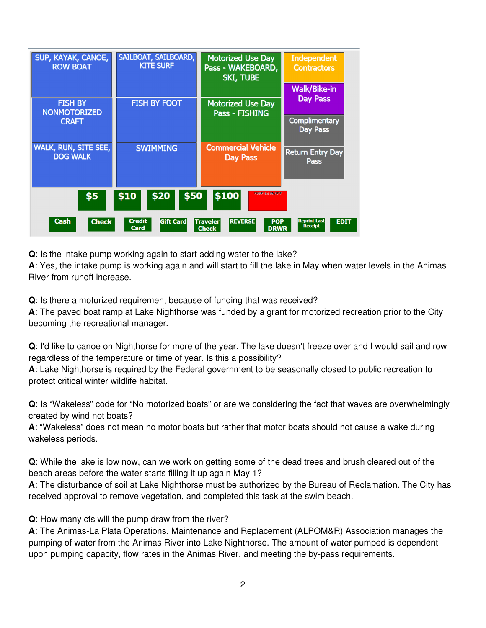| SUP, KAYAK, CANOE,<br><b>ROW BOAT</b>                                                                                                                                                                              | SAILBOAT, SAILBOARD,<br><b>KITE SURF</b> | <b>Motorized Use Day</b><br>Pass - WAKEBOARD,<br><b>SKI, TUBE</b> | <b>Independent</b><br><b>Contractors</b><br><b>Walk/Bike-in</b> |  |
|--------------------------------------------------------------------------------------------------------------------------------------------------------------------------------------------------------------------|------------------------------------------|-------------------------------------------------------------------|-----------------------------------------------------------------|--|
| <b>FISH BY</b><br><b>NONMOTORIZED</b><br><b>CRAFT</b>                                                                                                                                                              | <b>FISH BY FOOT</b>                      | <b>Motorized Use Day</b><br><b>Pass - FISHING</b>                 | <b>Day Pass</b><br><b>Complimentary</b><br><b>Day Pass</b>      |  |
| <b>WALK, RUN, SITE SEE,</b><br><b>DOG WALK</b>                                                                                                                                                                     | <b>SWIMMING</b>                          | <b>Commercial Vehicle</b><br><b>Day Pass</b>                      | <b>Return Entry Day</b><br><b>Pass</b>                          |  |
| \$100<br><b>POS Print ON/OFF</b><br>\$50<br>\$10<br>\$20<br>\$5                                                                                                                                                    |                                          |                                                                   |                                                                 |  |
| <b>Credit</b><br><b>Cash</b><br><b>Reprint Last</b><br><b>Check</b><br><b>Gift Card</b><br><b>REVERSE</b><br><b>Traveler</b><br><b>POP</b><br><b>EDIT</b><br><b>Receipt</b><br>Card<br><b>Check</b><br><b>DRWR</b> |                                          |                                                                   |                                                                 |  |

**Q**: Is the intake pump working again to start adding water to the lake?

**A**: Yes, the intake pump is working again and will start to fill the lake in May when water levels in the Animas River from runoff increase.

**Q**: Is there a motorized requirement because of funding that was received?

**A**: The paved boat ramp at Lake Nighthorse was funded by a grant for motorized recreation prior to the City becoming the recreational manager.

**Q**: I'd like to canoe on Nighthorse for more of the year. The lake doesn't freeze over and I would sail and row regardless of the temperature or time of year. Is this a possibility?

**A**: Lake Nighthorse is required by the Federal government to be seasonally closed to public recreation to protect critical winter wildlife habitat.

**Q**: Is "Wakeless" code for "No motorized boats" or are we considering the fact that waves are overwhelmingly created by wind not boats?

**A**: "Wakeless" does not mean no motor boats but rather that motor boats should not cause a wake during wakeless periods.

**Q**: While the lake is low now, can we work on getting some of the dead trees and brush cleared out of the beach areas before the water starts filling it up again May 1?

**A**: The disturbance of soil at Lake Nighthorse must be authorized by the Bureau of Reclamation. The City has received approval to remove vegetation, and completed this task at the swim beach.

**Q**: How many cfs will the pump draw from the river?

**A**: The Animas-La Plata Operations, Maintenance and Replacement (ALPOM&R) Association manages the pumping of water from the Animas River into Lake Nighthorse. The amount of water pumped is dependent upon pumping capacity, flow rates in the Animas River, and meeting the by-pass requirements.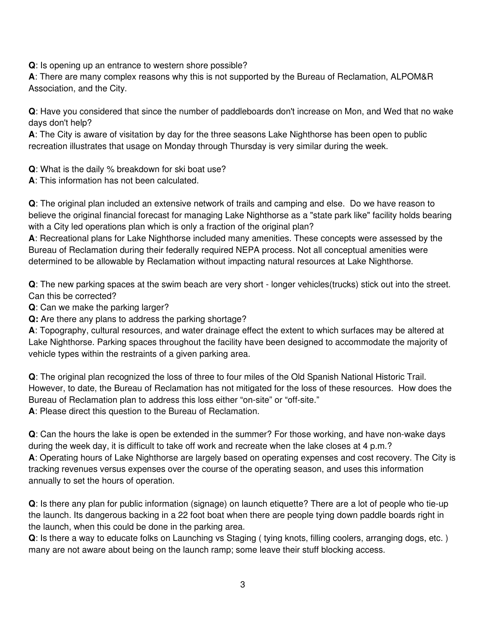**Q**: Is opening up an entrance to western shore possible?

**A**: There are many complex reasons why this is not supported by the Bureau of Reclamation, ALPOM&R Association, and the City.

**Q**: Have you considered that since the number of paddleboards don't increase on Mon, and Wed that no wake days don't help?

**A**: The City is aware of visitation by day for the three seasons Lake Nighthorse has been open to public recreation illustrates that usage on Monday through Thursday is very similar during the week.

**Q**: What is the daily % breakdown for ski boat use?

**A**: This information has not been calculated.

**Q**: The original plan included an extensive network of trails and camping and else. Do we have reason to believe the original financial forecast for managing Lake Nighthorse as a "state park like" facility holds bearing with a City led operations plan which is only a fraction of the original plan?

**A**: Recreational plans for Lake Nighthorse included many amenities. These concepts were assessed by the Bureau of Reclamation during their federally required NEPA process. Not all conceptual amenities were determined to be allowable by Reclamation without impacting natural resources at Lake Nighthorse.

**Q**: The new parking spaces at the swim beach are very short - longer vehicles(trucks) stick out into the street. Can this be corrected?

**Q**: Can we make the parking larger?

**Q:** Are there any plans to address the parking shortage?

**A**: Topography, cultural resources, and water drainage effect the extent to which surfaces may be altered at Lake Nighthorse. Parking spaces throughout the facility have been designed to accommodate the majority of vehicle types within the restraints of a given parking area.

**Q**: The original plan recognized the loss of three to four miles of the Old Spanish National Historic Trail. However, to date, the Bureau of Reclamation has not mitigated for the loss of these resources. How does the Bureau of Reclamation plan to address this loss either "on-site" or "off-site."

**A**: Please direct this question to the Bureau of Reclamation.

**Q**: Can the hours the lake is open be extended in the summer? For those working, and have non-wake days during the week day, it is difficult to take off work and recreate when the lake closes at 4 p.m.? **A**: Operating hours of Lake Nighthorse are largely based on operating expenses and cost recovery. The City is tracking revenues versus expenses over the course of the operating season, and uses this information annually to set the hours of operation.

**Q**: Is there any plan for public information (signage) on launch etiquette? There are a lot of people who tie-up the launch. Its dangerous backing in a 22 foot boat when there are people tying down paddle boards right in the launch, when this could be done in the parking area.

**Q**: Is there a way to educate folks on Launching vs Staging ( tying knots, filling coolers, arranging dogs, etc. ) many are not aware about being on the launch ramp; some leave their stuff blocking access.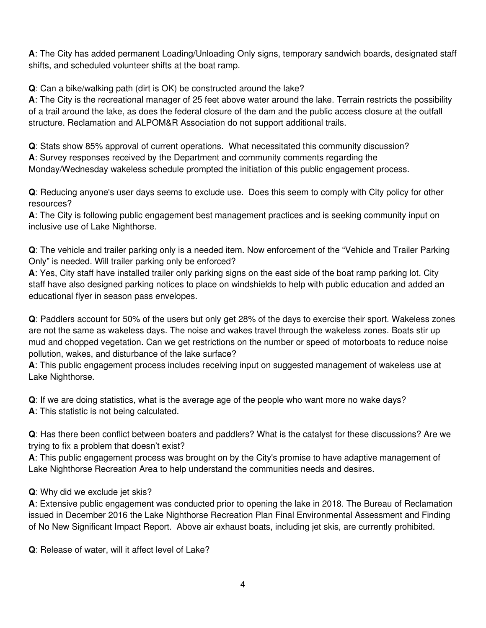**A**: The City has added permanent Loading/Unloading Only signs, temporary sandwich boards, designated staff shifts, and scheduled volunteer shifts at the boat ramp.

**Q**: Can a bike/walking path (dirt is OK) be constructed around the lake?

**A**: The City is the recreational manager of 25 feet above water around the lake. Terrain restricts the possibility of a trail around the lake, as does the federal closure of the dam and the public access closure at the outfall structure. Reclamation and ALPOM&R Association do not support additional trails.

**Q**: Stats show 85% approval of current operations. What necessitated this community discussion? **A**: Survey responses received by the Department and community comments regarding the Monday/Wednesday wakeless schedule prompted the initiation of this public engagement process.

**Q**: Reducing anyone's user days seems to exclude use. Does this seem to comply with City policy for other resources?

**A**: The City is following public engagement best management practices and is seeking community input on inclusive use of Lake Nighthorse.

**Q**: The vehicle and trailer parking only is a needed item. Now enforcement of the "Vehicle and Trailer Parking Only" is needed. Will trailer parking only be enforced?

**A**: Yes, City staff have installed trailer only parking signs on the east side of the boat ramp parking lot. City staff have also designed parking notices to place on windshields to help with public education and added an educational flyer in season pass envelopes.

**Q**: Paddlers account for 50% of the users but only get 28% of the days to exercise their sport. Wakeless zones are not the same as wakeless days. The noise and wakes travel through the wakeless zones. Boats stir up mud and chopped vegetation. Can we get restrictions on the number or speed of motorboats to reduce noise pollution, wakes, and disturbance of the lake surface?

**A**: This public engagement process includes receiving input on suggested management of wakeless use at Lake Nighthorse.

**Q**: If we are doing statistics, what is the average age of the people who want more no wake days? **A**: This statistic is not being calculated.

**Q**: Has there been conflict between boaters and paddlers? What is the catalyst for these discussions? Are we trying to fix a problem that doesn't exist?

**A**: This public engagement process was brought on by the City's promise to have adaptive management of Lake Nighthorse Recreation Area to help understand the communities needs and desires.

## **Q**: Why did we exclude jet skis?

**A**: Extensive public engagement was conducted prior to opening the lake in 2018. The Bureau of Reclamation issued in December 2016 the Lake Nighthorse Recreation Plan Final Environmental Assessment and Finding of No New Significant Impact Report. Above air exhaust boats, including jet skis, are currently prohibited.

**Q**: Release of water, will it affect level of Lake?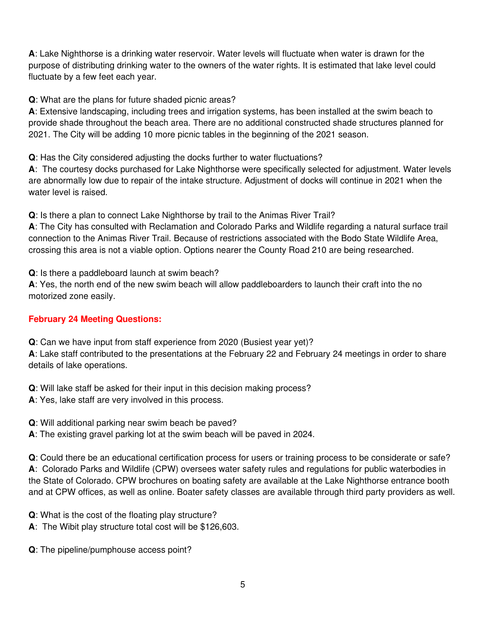**A**: Lake Nighthorse is a drinking water reservoir. Water levels will fluctuate when water is drawn for the purpose of distributing drinking water to the owners of the water rights. It is estimated that lake level could fluctuate by a few feet each year.

**Q**: What are the plans for future shaded picnic areas?

**A**: Extensive landscaping, including trees and irrigation systems, has been installed at the swim beach to provide shade throughout the beach area. There are no additional constructed shade structures planned for 2021. The City will be adding 10 more picnic tables in the beginning of the 2021 season.

**Q**: Has the City considered adjusting the docks further to water fluctuations?

**A**: The courtesy docks purchased for Lake Nighthorse were specifically selected for adjustment. Water levels are abnormally low due to repair of the intake structure. Adjustment of docks will continue in 2021 when the water level is raised.

**Q**: Is there a plan to connect Lake Nighthorse by trail to the Animas River Trail?

**A**: The City has consulted with Reclamation and Colorado Parks and Wildlife regarding a natural surface trail connection to the Animas River Trail. Because of restrictions associated with the Bodo State Wildlife Area, crossing this area is not a viable option. Options nearer the County Road 210 are being researched.

**Q**: Is there a paddleboard launch at swim beach?

**A**: Yes, the north end of the new swim beach will allow paddleboarders to launch their craft into the no motorized zone easily.

## **February 24 Meeting Questions:**

**Q**: Can we have input from staff experience from 2020 (Busiest year yet)?

**A**: Lake staff contributed to the presentations at the February 22 and February 24 meetings in order to share details of lake operations.

- **Q**: Will lake staff be asked for their input in this decision making process?
- **A**: Yes, lake staff are very involved in this process.
- **Q**: Will additional parking near swim beach be paved?
- **A**: The existing gravel parking lot at the swim beach will be paved in 2024.

**Q**: Could there be an educational certification process for users or training process to be considerate or safe? **A**: Colorado Parks and Wildlife (CPW) oversees water safety rules and regulations for public waterbodies in the State of Colorado. CPW brochures on boating safety are available at the Lake Nighthorse entrance booth and at CPW offices, as well as online. Boater safety classes are available through third party providers as well.

**Q**: What is the cost of the floating play structure?

- **A**: The Wibit play structure total cost will be \$126,603.
- **Q**: The pipeline/pumphouse access point?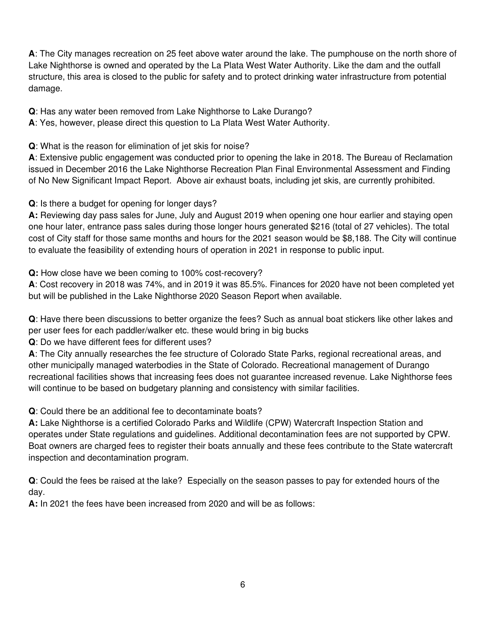**A**: The City manages recreation on 25 feet above water around the lake. The pumphouse on the north shore of Lake Nighthorse is owned and operated by the La Plata West Water Authority. Like the dam and the outfall structure, this area is closed to the public for safety and to protect drinking water infrastructure from potential damage.

**Q**: Has any water been removed from Lake Nighthorse to Lake Durango?

**A**: Yes, however, please direct this question to La Plata West Water Authority.

**Q**: What is the reason for elimination of jet skis for noise?

**A**: Extensive public engagement was conducted prior to opening the lake in 2018. The Bureau of Reclamation issued in December 2016 the Lake Nighthorse Recreation Plan Final Environmental Assessment and Finding of No New Significant Impact Report. Above air exhaust boats, including jet skis, are currently prohibited.

**Q**: Is there a budget for opening for longer days?

**A:** Reviewing day pass sales for June, July and August 2019 when opening one hour earlier and staying open one hour later, entrance pass sales during those longer hours generated \$216 (total of 27 vehicles). The total cost of City staff for those same months and hours for the 2021 season would be \$8,188. The City will continue to evaluate the feasibility of extending hours of operation in 2021 in response to public input.

**Q:** How close have we been coming to 100% cost-recovery?

**A**: Cost recovery in 2018 was 74%, and in 2019 it was 85.5%. Finances for 2020 have not been completed yet but will be published in the Lake Nighthorse 2020 Season Report when available.

**Q**: Have there been discussions to better organize the fees? Such as annual boat stickers like other lakes and per user fees for each paddler/walker etc. these would bring in big bucks

**Q**: Do we have different fees for different uses?

**A**: The City annually researches the fee structure of Colorado State Parks, regional recreational areas, and other municipally managed waterbodies in the State of Colorado. Recreational management of Durango recreational facilities shows that increasing fees does not guarantee increased revenue. Lake Nighthorse fees will continue to be based on budgetary planning and consistency with similar facilities.

**Q**: Could there be an additional fee to decontaminate boats?

**A:** Lake Nighthorse is a certified Colorado Parks and Wildlife (CPW) Watercraft Inspection Station and operates under State regulations and guidelines. Additional decontamination fees are not supported by CPW. Boat owners are charged fees to register their boats annually and these fees contribute to the State watercraft inspection and decontamination program.

**Q**: Could the fees be raised at the lake? Especially on the season passes to pay for extended hours of the day.

**A:** In 2021 the fees have been increased from 2020 and will be as follows: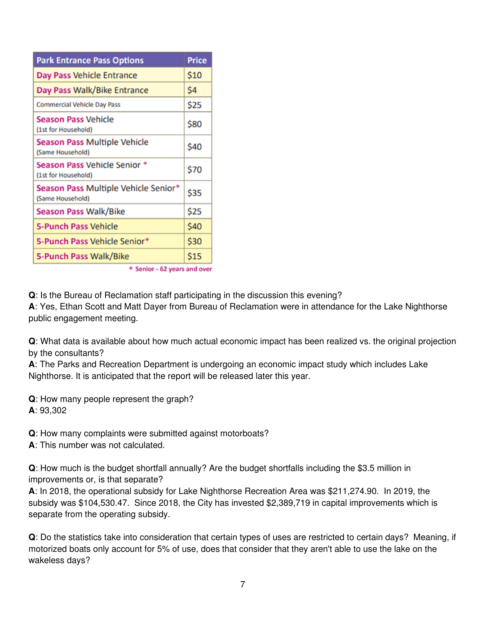| <b>Park Entrance Pass Options</b>                        | <b>Price</b> |  |
|----------------------------------------------------------|--------------|--|
| Day Pass Vehicle Entrance                                | \$10         |  |
| Day Pass Walk/Bike Entrance                              | \$4          |  |
| <b>Commercial Vehicle Day Pass</b>                       | \$25         |  |
| <b>Season Pass Vehicle</b><br>(1st for Household)        | \$80         |  |
| <b>Season Pass Multiple Vehicle</b><br>(Same Household)  | \$40         |  |
| Season Pass Vehicle Senior *<br>(1st for Household)      | \$70         |  |
| Season Pass Multiple Vehicle Senior*<br>(Same Household) | \$35         |  |
| <b>Season Pass Walk/Bike</b>                             | \$25         |  |
| <b>5-Punch Pass Vehicle</b>                              | \$40         |  |
| 5-Punch Pass Vehicle Senior*                             | \$30         |  |
| 5-Punch Pass Walk/Bike                                   | \$15         |  |
| * Senior - 62 years and over                             |              |  |

**Q**: Is the Bureau of Reclamation staff participating in the discussion this evening? **A**: Yes, Ethan Scott and Matt Dayer from Bureau of Reclamation were in attendance for the Lake Nighthorse public engagement meeting.

**Q**: What data is available about how much actual economic impact has been realized vs. the original projection by the consultants?

**A**: The Parks and Recreation Department is undergoing an economic impact study which includes Lake Nighthorse. It is anticipated that the report will be released later this year.

**Q**: How many people represent the graph? **A**: 93,302

**Q**: How many complaints were submitted against motorboats?

**A**: This number was not calculated.

**Q**: How much is the budget shortfall annually? Are the budget shortfalls including the \$3.5 million in improvements or, is that separate?

**A**: In 2018, the operational subsidy for Lake Nighthorse Recreation Area was \$211,274.90. In 2019, the subsidy was \$104,530.47. Since 2018, the City has invested \$2,389,719 in capital improvements which is separate from the operating subsidy.

**Q**: Do the statistics take into consideration that certain types of uses are restricted to certain days? Meaning, if motorized boats only account for 5% of use, does that consider that they aren't able to use the lake on the wakeless days?